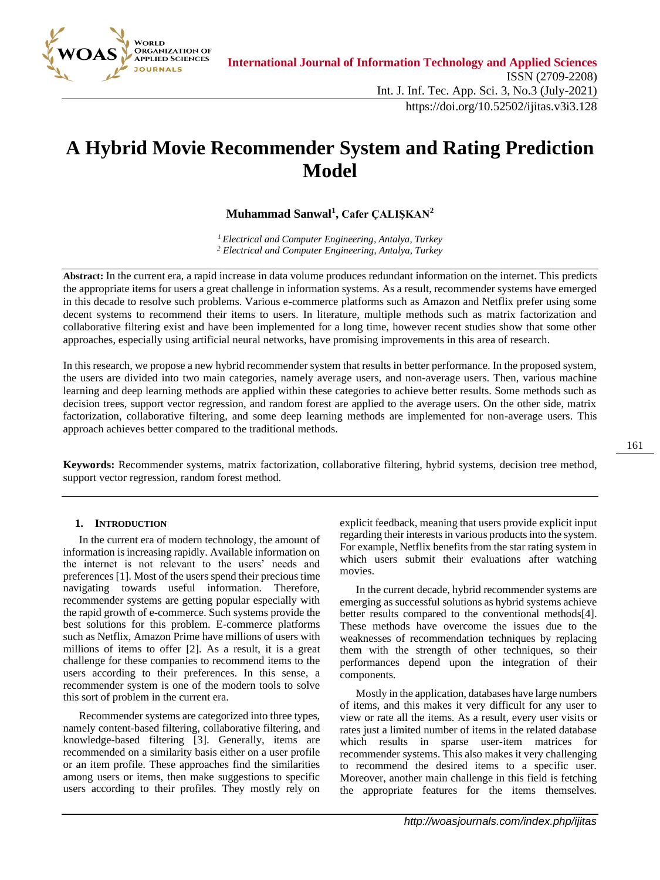

# **A Hybrid Movie Recommender System and Rating Prediction Model**

# **Muhammad Sanwal<sup>1</sup> , Cafer ÇALIŞKAN<sup>2</sup>**

*<sup>1</sup>Electrical and Computer Engineering, Antalya, Turkey <sup>2</sup> Electrical and Computer Engineering, Antalya, Turkey*

**Abstract:** In the current era, a rapid increase in data volume produces redundant information on the internet. This predicts the appropriate items for users a great challenge in information systems. As a result, recommender systems have emerged in this decade to resolve such problems. Various e-commerce platforms such as Amazon and Netflix prefer using some decent systems to recommend their items to users. In literature, multiple methods such as matrix factorization and collaborative filtering exist and have been implemented for a long time, however recent studies show that some other approaches, especially using artificial neural networks, have promising improvements in this area of research.

In this research, we propose a new hybrid recommender system that results in better performance. In the proposed system, the users are divided into two main categories, namely average users, and non-average users. Then, various machine learning and deep learning methods are applied within these categories to achieve better results. Some methods such as decision trees, support vector regression, and random forest are applied to the average users. On the other side, matrix factorization, collaborative filtering, and some deep learning methods are implemented for non-average users. This approach achieves better compared to the traditional methods.

**Keywords:** Recommender systems, matrix factorization, collaborative filtering, hybrid systems, decision tree method, support vector regression, random forest method.

# **1. INTRODUCTION**

In the current era of modern technology, the amount of information is increasing rapidly. Available information on the internet is not relevant to the users' needs and preferences [\[1\].](#page-7-0) Most of the users spend their precious time navigating towards useful information. Therefore, recommender systems are getting popular especially with the rapid growth of e-commerce. Such systems provide the best solutions for this problem. E-commerce platforms such as Netflix, Amazon Prime have millions of users with millions of items to offer [\[2\].](#page-7-1) As a result, it is a great challenge for these companies to recommend items to the users according to their preferences. In this sense, a recommender system is one of the modern tools to solve this sort of problem in the current era.

Recommender systems are categorized into three types, namely content-based filtering, collaborative filtering, and knowledge-based filtering [\[3\].](#page-7-2) Generally, items are recommended on a similarity basis either on a user profile or an item profile. These approaches find the similarities among users or items, then make suggestions to specific users according to their profiles. They mostly rely on

explicit feedback, meaning that users provide explicit input regarding their interests in various products into the system. For example, Netflix benefits from the star rating system in which users submit their evaluations after watching movies.

In the current decade, hybrid recommender systems are emerging as successful solutions as hybrid systems achieve better results compared to the conventional method[s\[4\].](#page-7-3) These methods have overcome the issues due to the weaknesses of recommendation techniques by replacing them with the strength of other techniques, so their performances depend upon the integration of their components.

Mostly in the application, databases have large numbers of items, and this makes it very difficult for any user to view or rate all the items. As a result, every user visits or rates just a limited number of items in the related database which results in sparse user-item matrices for recommender systems. This also makes it very challenging to recommend the desired items to a specific user. Moreover, another main challenge in this field is fetching the appropriate features for the items themselves.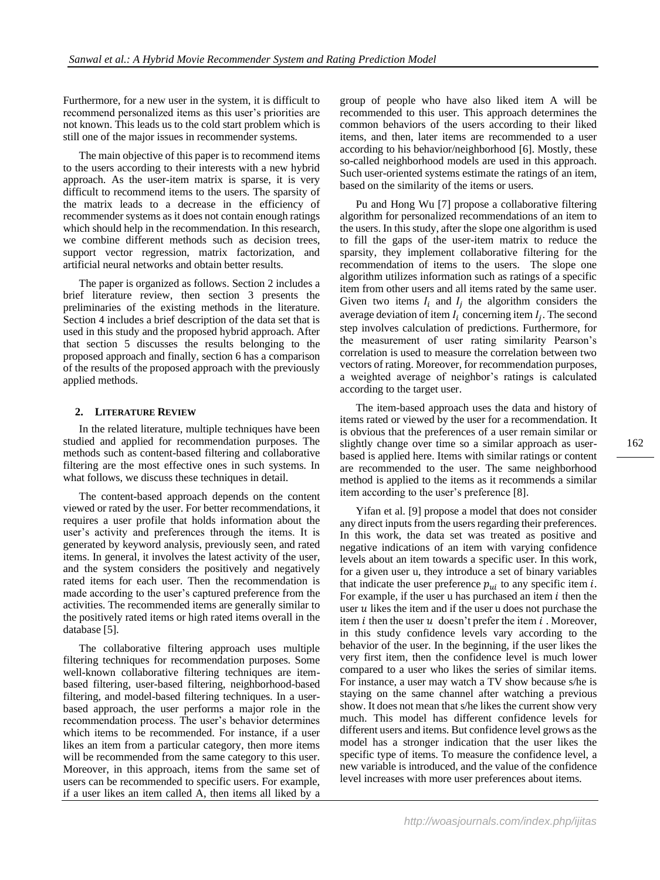Furthermore, for a new user in the system, it is difficult to recommend personalized items as this user's priorities are not known. This leads us to the cold start problem which is still one of the major issues in recommender systems.

The main objective of this paper is to recommend items to the users according to their interests with a new hybrid approach. As the user-item matrix is sparse, it is very difficult to recommend items to the users. The sparsity of the matrix leads to a decrease in the efficiency of recommender systems as it does not contain enough ratings which should help in the recommendation. In this research, we combine different methods such as decision trees, support vector regression, matrix factorization, and artificial neural networks and obtain better results.

The paper is organized as follows. Section 2 includes a brief literature review, then section 3 presents the preliminaries of the existing methods in the literature. Section 4 includes a brief description of the data set that is used in this study and the proposed hybrid approach. After that section 5 discusses the results belonging to the proposed approach and finally, section 6 has a comparison of the results of the proposed approach with the previously applied methods.

#### **2. LITERATURE REVIEW**

In the related literature, multiple techniques have been studied and applied for recommendation purposes. The methods such as content-based filtering and collaborative filtering are the most effective ones in such systems. In what follows, we discuss these techniques in detail.

The content-based approach depends on the content viewed or rated by the user. For better recommendations, it requires a user profile that holds information about the user's activity and preferences through the items. It is generated by keyword analysis, previously seen, and rated items. In general, it involves the latest activity of the user, and the system considers the positively and negatively rated items for each user. Then the recommendation is made according to the user's captured preference from the activities. The recommended items are generally similar to the positively rated items or high rated items overall in the database [\[5\].](#page-7-4)

The collaborative filtering approach uses multiple filtering techniques for recommendation purposes. Some well-known collaborative filtering techniques are itembased filtering, user-based filtering, neighborhood-based filtering, and model-based filtering techniques. In a userbased approach, the user performs a major role in the recommendation process. The user's behavior determines which items to be recommended. For instance, if a user likes an item from a particular category, then more items will be recommended from the same category to this user. Moreover, in this approach, items from the same set of users can be recommended to specific users. For example, if a user likes an item called A, then items all liked by a group of people who have also liked item A will be recommended to this user. This approach determines the common behaviors of the users according to their liked items, and then, later items are recommended to a user according to his behavior/neighborhood [\[6\].](#page-7-5) Mostly, these so-called neighborhood models are used in this approach. Such user-oriented systems estimate the ratings of an item, based on the similarity of the items or users.

Pu and Hong Wu [\[7\]](#page-7-6) propose a collaborative filtering algorithm for personalized recommendations of an item to the users. In this study, after the slope one algorithm is used to fill the gaps of the user-item matrix to reduce the sparsity, they implement collaborative filtering for the recommendation of items to the users. The slope one algorithm utilizes information such as ratings of a specific item from other users and all items rated by the same user. Given two items  $I_i$  and  $I_j$  the algorithm considers the average deviation of item  $I_i$  concerning item  $I_j$ . The second step involves calculation of predictions. Furthermore, for the measurement of user rating similarity Pearson's correlation is used to measure the correlation between two vectors of rating. Moreover, for recommendation purposes, a weighted average of neighbor's ratings is calculated according to the target user.

The item-based approach uses the data and history of items rated or viewed by the user for a recommendation. It is obvious that the preferences of a user remain similar or slightly change over time so a similar approach as userbased is applied here. Items with similar ratings or content are recommended to the user. The same neighborhood method is applied to the items as it recommends a similar item according to the user's preference [\[8\].](#page-7-7)

Yifan et al. [\[9\]](#page-7-8) propose a model that does not consider any direct inputs from the users regarding their preferences. In this work, the data set was treated as positive and negative indications of an item with varying confidence levels about an item towards a specific user. In this work, for a given user u, they introduce a set of binary variables that indicate the user preference  $p_{ui}$  to any specific item *i*. For example, if the user u has purchased an item  $i$  then the user  $u$  likes the item and if the user u does not purchase the item *i* then the user  $u$  doesn't prefer the item  $i$ . Moreover, in this study confidence levels vary according to the behavior of the user. In the beginning, if the user likes the very first item, then the confidence level is much lower compared to a user who likes the series of similar items. For instance, a user may watch a TV show because s/he is staying on the same channel after watching a previous show. It does not mean that s/he likes the current show very much. This model has different confidence levels for different users and items. But confidence level grows as the model has a stronger indication that the user likes the specific type of items. To measure the confidence level, a new variable is introduced, and the value of the confidence level increases with more user preferences about items.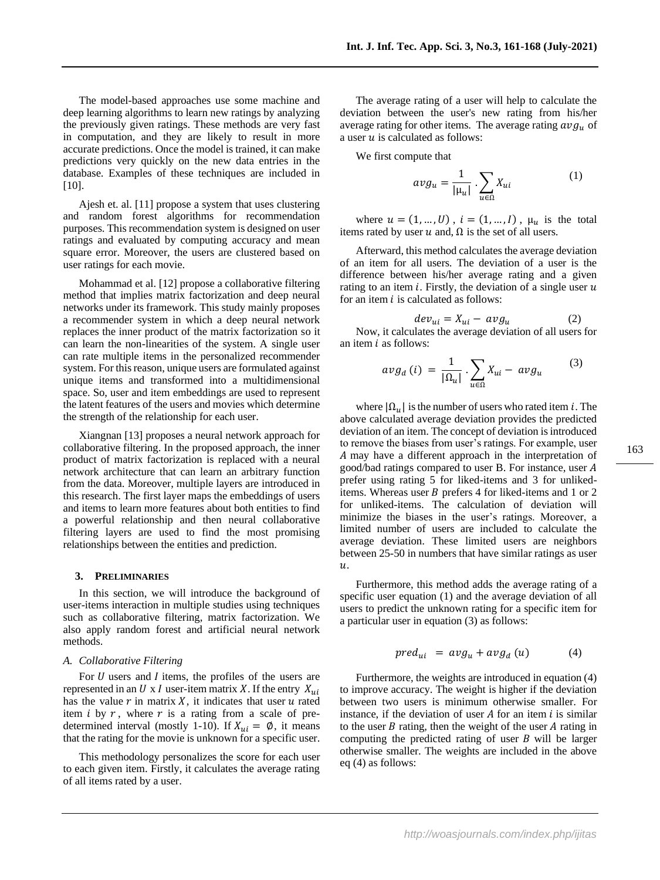The model-based approaches use some machine and deep learning algorithms to learn new ratings by analyzing the previously given ratings. These methods are very fast in computation, and they are likely to result in more accurate predictions. Once the model is trained, it can make predictions very quickly on the new data entries in the database. Examples of these techniques are included in [\[10\].](#page-7-9)

Ajesh et. al. [\[11\]](#page-7-10) propose a system that uses clustering and random forest algorithms for recommendation purposes. This recommendation system is designed on user ratings and evaluated by computing accuracy and mean square error. Moreover, the users are clustered based on user ratings for each movie.

Mohammad et al. [\[12\]](#page-7-11) propose a collaborative filtering method that implies matrix factorization and deep neural networks under its framework. This study mainly proposes a recommender system in which a deep neural network replaces the inner product of the matrix factorization so it can learn the non-linearities of the system. A single user can rate multiple items in the personalized recommender system. For this reason, unique users are formulated against unique items and transformed into a multidimensional space. So, user and item embeddings are used to represent the latent features of the users and movies which determine the strength of the relationship for each user.

Xiangnan [\[13\]](#page-7-12) proposes a neural network approach for collaborative filtering. In the proposed approach, the inner product of matrix factorization is replaced with a neural network architecture that can learn an arbitrary function from the data. Moreover, multiple layers are introduced in this research. The first layer maps the embeddings of users and items to learn more features about both entities to find a powerful relationship and then neural collaborative filtering layers are used to find the most promising relationships between the entities and prediction.

# **3. PRELIMINARIES**

In this section, we will introduce the background of user-items interaction in multiple studies using techniques such as collaborative filtering, matrix factorization. We also apply random forest and artificial neural network methods.

### *A. Collaborative Filtering*

For  $U$  users and  $I$  items, the profiles of the users are represented in an U x I user-item matrix X. If the entry  $X_{ui}$ has the value  $r$  in matrix  $X$ , it indicates that user  $u$  rated item  $i$  by  $r$ , where  $r$  is a rating from a scale of predetermined interval (mostly 1-10). If  $X_{ui} = \emptyset$ , it means that the rating for the movie is unknown for a specific user.

This methodology personalizes the score for each user to each given item. Firstly, it calculates the average rating of all items rated by a user.

The average rating of a user will help to calculate the deviation between the user's new rating from his/her average rating for other items. The average rating  $avg<sub>u</sub>$  of a user  $u$  is calculated as follows:

We first compute that

$$
avg_u = \frac{1}{|\mu_u|} \cdot \sum_{u \in \Omega} X_{ui} \tag{1}
$$

where  $u = (1, ..., U)$ ,  $i = (1, ..., I)$ ,  $\mu_u$  is the total items rated by user  $u$  and,  $\Omega$  is the set of all users.

Afterward, this method calculates the average deviation of an item for all users. The deviation of a user is the difference between his/her average rating and a given rating to an item  $i$ . Firstly, the deviation of a single user  $u$ for an item  $i$  is calculated as follows:

$$
dev_{ui} = X_{ui} - avg_u \tag{2}
$$

Now, it calculates the average deviation of all users for an item  $i$  as follows:

$$
avg_a(i) = \frac{1}{|\Omega_u|} \cdot \sum_{u \in \Omega} X_{ui} - avg_u \tag{3}
$$

where  $|\Omega_{ij}|$  is the number of users who rated item *i*. The above calculated average deviation provides the predicted deviation of an item. The concept of deviation is introduced to remove the biases from user's ratings. For example, user A may have a different approach in the interpretation of good/bad ratings compared to user B. For instance, user prefer using rating 5 for liked-items and 3 for unlikeditems. Whereas user  $B$  prefers 4 for liked-items and 1 or 2 for unliked-items. The calculation of deviation will minimize the biases in the user's ratings. Moreover, a limited number of users are included to calculate the average deviation. These limited users are neighbors between 25-50 in numbers that have similar ratings as user  $\overline{u}$ .

Furthermore, this method adds the average rating of a specific user equation (1) and the average deviation of all users to predict the unknown rating for a specific item for a particular user in equation (3) as follows:

$$
pred_{ui} = avg_u + avg_d(u) \qquad (4)
$$

Furthermore, the weights are introduced in equation (4) to improve accuracy. The weight is higher if the deviation between two users is minimum otherwise smaller. For instance, if the deviation of user  $A$  for an item  $i$  is similar to the user  $B$  rating, then the weight of the user  $A$  rating in computing the predicted rating of user  $B$  will be larger otherwise smaller. The weights are included in the above eq (4) as follows: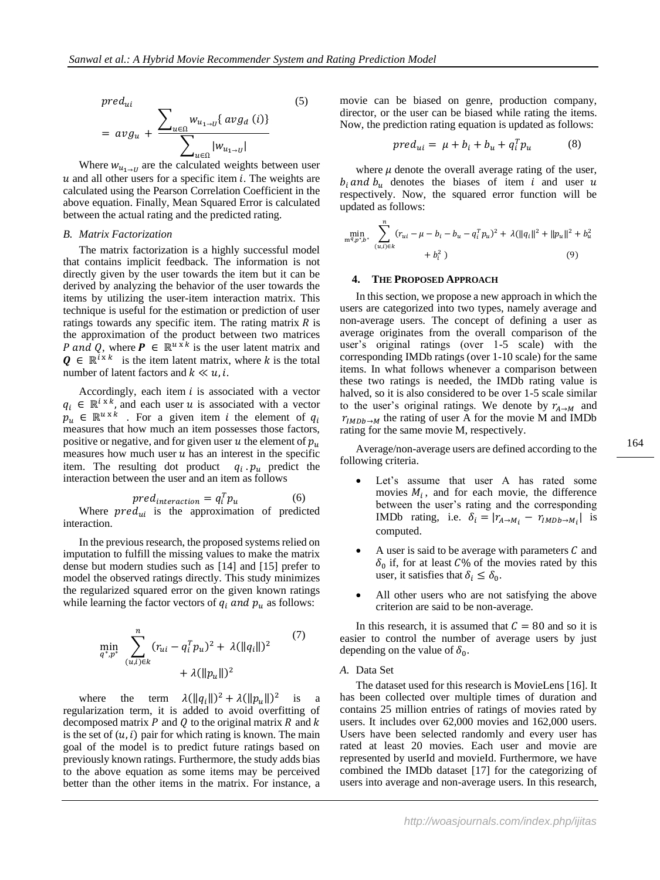$pred...$ 

$$
pred_{ui} = avg_{u} + \frac{\sum_{u \in \Omega} w_{u_{1 \to U}} \{ avg_{d} (i) \}}{\sum_{u \in \Omega} |w_{u_{1 \to U}}|}
$$
 (5)

Where  $w_{u_1 \to v}$  are the calculated weights between user  $u$  and all other users for a specific item  $i$ . The weights are calculated using the Pearson Correlation Coefficient in the above equation. Finally, Mean Squared Error is calculated between the actual rating and the predicted rating.

#### *B. Matrix Factorization*

The matrix factorization is a highly successful model that contains implicit feedback. The information is not directly given by the user towards the item but it can be derived by analyzing the behavior of the user towards the items by utilizing the user-item interaction matrix. This technique is useful for the estimation or prediction of user ratings towards any specific item. The rating matrix  $R$  is the approximation of the product between two matrices P and Q, where  $P \in \mathbb{R}^{u \times k}$  is the user latent matrix and  $Q \in \mathbb{R}^{i \times k}$  is the item latent matrix, where k is the total number of latent factors and  $k \ll u, i$ .

Accordingly, each item  $i$  is associated with a vector  $q_i \in \mathbb{R}^{i \times k}$ , and each user u is associated with a vector  $p_u \in \mathbb{R}^{u \times k}$  . For a given item *i* the element of  $q_i$ measures that how much an item possesses those factors, positive or negative, and for given user  $u$  the element of  $p_u$ measures how much user  $u$  has an interest in the specific item. The resulting dot product  $q_i$   $p_u$  predict the interaction between the user and an item as follows

*pred<sub>interaction</sub>* = 
$$
q_i^T p_u
$$
 (6)  
Where  $pred_{ui}$  is the approximation of predicted  
interaction.

In the previous research, the proposed systems relied on imputation to fulfill the missing values to make the matrix dense but modern studies such as [\[14\]](#page-7-13) and [\[15\]](#page-7-14) prefer to model the observed ratings directly. This study minimizes the regularized squared error on the given known ratings while learning the factor vectors of  $q_i$  and  $p_u$  as follows:

$$
\min_{q^*, p^*} \sum_{(u,i)\in k}^n (r_{ui} - q_i^T p_u)^2 + \lambda (\|q_i\|)^2 \tag{7}
$$
  
+  $\lambda (\|p_u\|)^2$ 

where the term  $\lambda(||q_i||)^2 + \lambda(||p_u||)^2$  is a regularization term, it is added to avoid overfitting of decomposed matrix  $P$  and  $Q$  to the original matrix  $R$  and  $k$ is the set of  $(u, i)$  pair for which rating is known. The main goal of the model is to predict future ratings based on previously known ratings. Furthermore, the study adds bias to the above equation as some items may be perceived better than the other items in the matrix. For instance, a

movie can be biased on genre, production company, director, or the user can be biased while rating the items. Now, the prediction rating equation is updated as follows:

$$
pred_{ui} = \mu + b_i + b_u + q_i^T p_u \tag{8}
$$

where  $\mu$  denote the overall average rating of the user,  $b_i$  and  $b_u$  denotes the biases of item i and user u respectively. Now, the squared error function will be updated as follows:

$$
\min_{\mathbf{m}^{q}, p^{*,b^{*}}} \sum_{(u,i)\in k}^{n} (r_{ui} - \mu - b_{i} - b_{u} - q_{i}^{T} p_{u})^{2} + \lambda (||q_{i}||^{2} + ||p_{u}||^{2} + b_{u}^{2})
$$
\n
$$
+ b_{i}^{2})
$$
\n(9)

#### **4. THE PROPOSED APPROACH**

In this section, we propose a new approach in which the users are categorized into two types, namely average and non-average users. The concept of defining a user as average originates from the overall comparison of the user's original ratings (over 1-5 scale) with the corresponding IMDb ratings (over 1-10 scale) for the same items. In what follows whenever a comparison between these two ratings is needed, the IMDb rating value is halved, so it is also considered to be over 1-5 scale similar to the user's original ratings. We denote by  $r_{A\rightarrow M}$  and  $r_{IMDb\rightarrow M}$  the rating of user A for the movie M and IMDb rating for the same movie M, respectively.

Average/non-average users are defined according to the following criteria.

- Let's assume that user A has rated some movies  $M_i$ , and for each movie, the difference between the user's rating and the corresponding IMDb rating, i.e.  $\delta_i = |r_{A \to M_i} - r_{IMDb \to M_i}|$  is computed.
- A user is said to be average with parameters  $C$  and  $\delta_0$  if, for at least  $C\%$  of the movies rated by this user, it satisfies that  $\delta_i \leq \delta_0$ .
- All other users who are not satisfying the above criterion are said to be non-average.

In this research, it is assumed that  $C = 80$  and so it is easier to control the number of average users by just depending on the value of  $\delta_0$ .

#### *A.* Data Set

The dataset used for this research is MovieLens [\[16\].](#page-7-15) It has been collected over multiple times of duration and contains 25 million entries of ratings of movies rated by users. It includes over 62,000 movies and 162,000 users. Users have been selected randomly and every user has rated at least 20 movies. Each user and movie are represented by userId and movieId. Furthermore, we have combined the IMDb dataset [\[17\]](#page-7-16) for the categorizing of users into average and non-average users. In this research,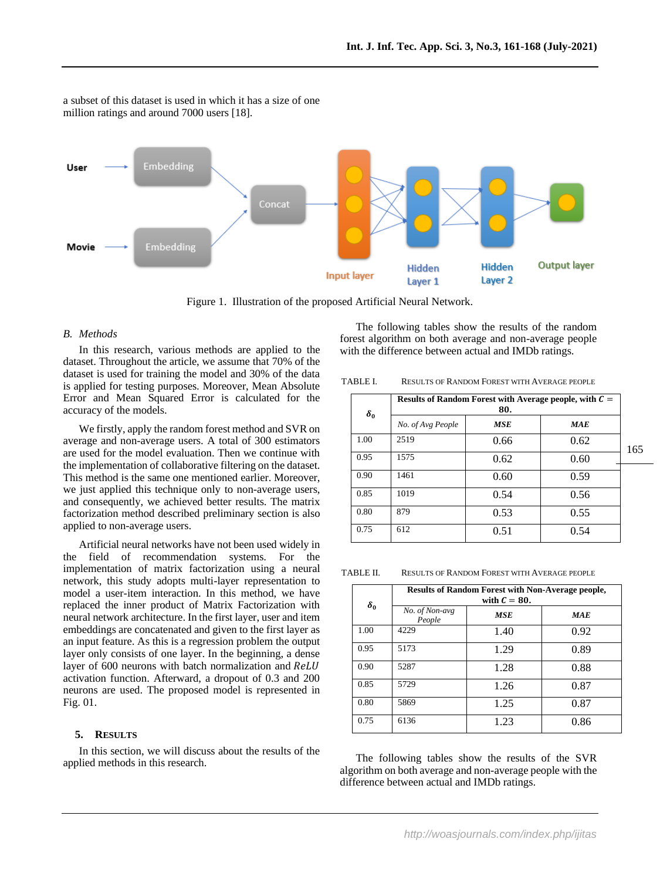

a subset of this dataset is used in which it has a size of one million ratings and around 7000 users [\[18\].](#page-7-17) 

Figure 1. Illustration of the proposed Artificial Neural Network.

#### *B. Methods*

In this research, various methods are applied to the dataset. Throughout the article, we assume that 70% of the dataset is used for training the model and 30% of the data is applied for testing purposes. Moreover, Mean Absolute Error and Mean Squared Error is calculated for the accuracy of the models.

We firstly, apply the random forest method and SVR on average and non-average users. A total of 300 estimators are used for the model evaluation. Then we continue with the implementation of collaborative filtering on the dataset. This method is the same one mentioned earlier. Moreover, we just applied this technique only to non-average users, and consequently, we achieved better results. The matrix factorization method described preliminary section is also applied to non-average users.

Artificial neural networks have not been used widely in the field of recommendation systems. For the implementation of matrix factorization using a neural network, this study adopts multi-layer representation to model a user-item interaction. In this method, we have replaced the inner product of Matrix Factorization with neural network architecture. In the first layer, user and item embeddings are concatenated and given to the first layer as an input feature. As this is a regression problem the output layer only consists of one layer. In the beginning, a dense layer of 600 neurons with batch normalization and ReLU activation function. Afterward, a dropout of 0.3 and 200 neurons are used. The proposed model is represented in Fig. 01.

## **5. RESULTS**

In this section, we will discuss about the results of the applied methods in this research.

The following tables show the results of the random forest algorithm on both average and non-average people with the difference between actual and IMDb ratings.

| TABLE I. | <b>RESULTS OF RANDOM FOREST WITH AVERAGE PEOPLE</b> |
|----------|-----------------------------------------------------|
|----------|-----------------------------------------------------|

| $\delta_0$ | Results of Random Forest with Average people, with $C =$<br>80. |            |            |     |
|------------|-----------------------------------------------------------------|------------|------------|-----|
|            | No. of Avg People                                               | <b>MSE</b> | <b>MAE</b> |     |
| 1.00       | 2519                                                            | 0.66       | 0.62       | 165 |
| 0.95       | 1575                                                            | 0.62       | 0.60       |     |
| 0.90       | 1461                                                            | 0.60       | 0.59       |     |
| 0.85       | 1019                                                            | 0.54       | 0.56       |     |
| 0.80       | 879                                                             | 0.53       | 0.55       |     |
| 0.75       | 612                                                             | 0.51       | 0.54       |     |

TABLE II. RESULTS OF RANDOM FOREST WITH AVERAGE PEOPLE

| $\delta_0$ | <b>Results of Random Forest with Non-Average people,</b><br>with $C = 80$ . |            |            |  |
|------------|-----------------------------------------------------------------------------|------------|------------|--|
|            | No. of Non-avg<br>People                                                    | <b>MSE</b> | <b>MAE</b> |  |
| 1.00       | 4229                                                                        | 1.40       | 0.92       |  |
| 0.95       | 5173                                                                        | 1.29       | 0.89       |  |
| 0.90       | 5287                                                                        | 1.28       | 0.88       |  |
| 0.85       | 5729                                                                        | 1.26       | 0.87       |  |
| 0.80       | 5869                                                                        | 1.25       | 0.87       |  |
| 0.75       | 6136                                                                        | 1.23       | 0.86       |  |

The following tables show the results of the SVR algorithm on both average and non-average people with the difference between actual and IMDb ratings.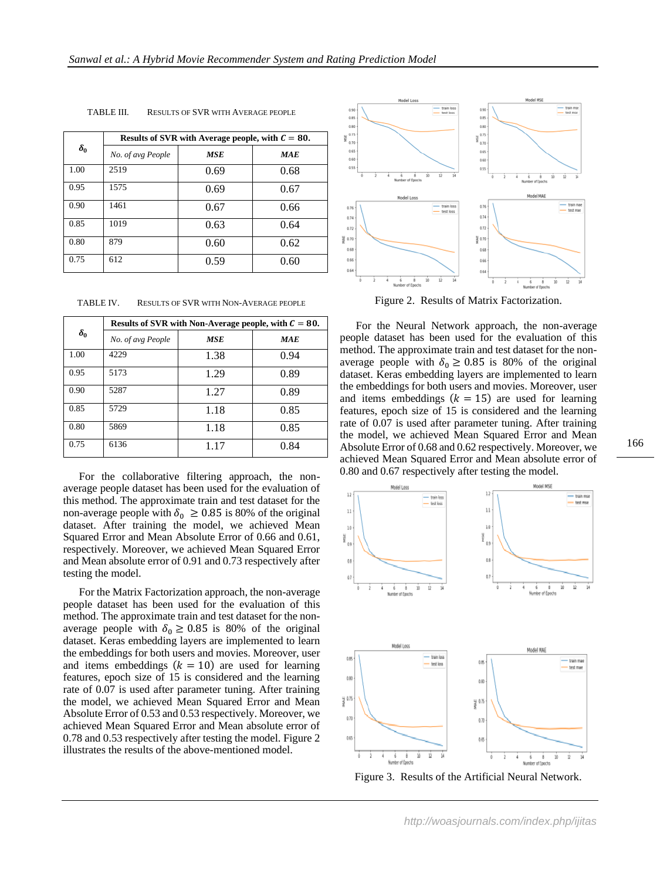| $\delta_0$ | Results of SVR with Average people, with $C = 80$ . |            |            |  |
|------------|-----------------------------------------------------|------------|------------|--|
|            | No. of avg People                                   | <b>MSE</b> | <b>MAE</b> |  |
| 1.00       | 2519                                                | 0.69       | 0.68       |  |
| 0.95       | 1575                                                | 0.69       | 0.67       |  |
| 0.90       | 1461                                                | 0.67       | 0.66       |  |
| 0.85       | 1019                                                | 0.63       | 0.64       |  |
| 0.80       | 879                                                 | 0.60       | 0.62       |  |
| 0.75       | 612                                                 | 0.59       | 0.60       |  |

TABLE III. RESULTS OF SVR WITH AVERAGE PEOPLE

TABLE IV. RESULTS OF SVR WITH NON-AVERAGE PEOPLE

| $\delta_0$ | Results of SVR with Non-Average people, with $C = 80$ . |            |            |  |  |
|------------|---------------------------------------------------------|------------|------------|--|--|
|            | No. of avg People                                       | <b>MSE</b> | <b>MAE</b> |  |  |
| 1.00       | 4229                                                    | 1.38       | 0.94       |  |  |
| 0.95       | 5173                                                    | 1.29       | 0.89       |  |  |
| 0.90       | 5287                                                    | 1.27       | 0.89       |  |  |
| 0.85       | 5729                                                    | 1.18       | 0.85       |  |  |
| 0.80       | 5869                                                    | 1.18       | 0.85       |  |  |
| 0.75       | 6136                                                    | 1.17       | 0.84       |  |  |

For the collaborative filtering approach, the nonaverage people dataset has been used for the evaluation of this method. The approximate train and test dataset for the non-average people with  $\delta_0 \ge 0.85$  is 80% of the original dataset. After training the model, we achieved Mean Squared Error and Mean Absolute Error of 0.66 and 0.61, respectively. Moreover, we achieved Mean Squared Error and Mean absolute error of 0.91 and 0.73 respectively after testing the model.

For the Matrix Factorization approach, the non-average people dataset has been used for the evaluation of this method. The approximate train and test dataset for the nonaverage people with  $\delta_0 \ge 0.85$  is 80% of the original dataset. Keras embedding layers are implemented to learn the embeddings for both users and movies. Moreover, user and items embeddings  $(k = 10)$  are used for learning features, epoch size of 15 is considered and the learning rate of 0.07 is used after parameter tuning. After training the model, we achieved Mean Squared Error and Mean Absolute Error of 0.53 and 0.53 respectively. Moreover, we achieved Mean Squared Error and Mean absolute error of 0.78 and 0.53 respectively after testing the model. Figure 2 illustrates the results of the above-mentioned model.



Figure 2. Results of Matrix Factorization.

For the Neural Network approach, the non-average people dataset has been used for the evaluation of this method. The approximate train and test dataset for the nonaverage people with  $\delta_0 \ge 0.85$  is 80% of the original dataset. Keras embedding layers are implemented to learn the embeddings for both users and movies. Moreover, user and items embeddings  $(k = 15)$  are used for learning features, epoch size of 15 is considered and the learning rate of 0.07 is used after parameter tuning. After training the model, we achieved Mean Squared Error and Mean Absolute Error of 0.68 and 0.62 respectively. Moreover, we achieved Mean Squared Error and Mean absolute error of 0.80 and 0.67 respectively after testing the model.



Figure 3. Results of the Artificial Neural Network.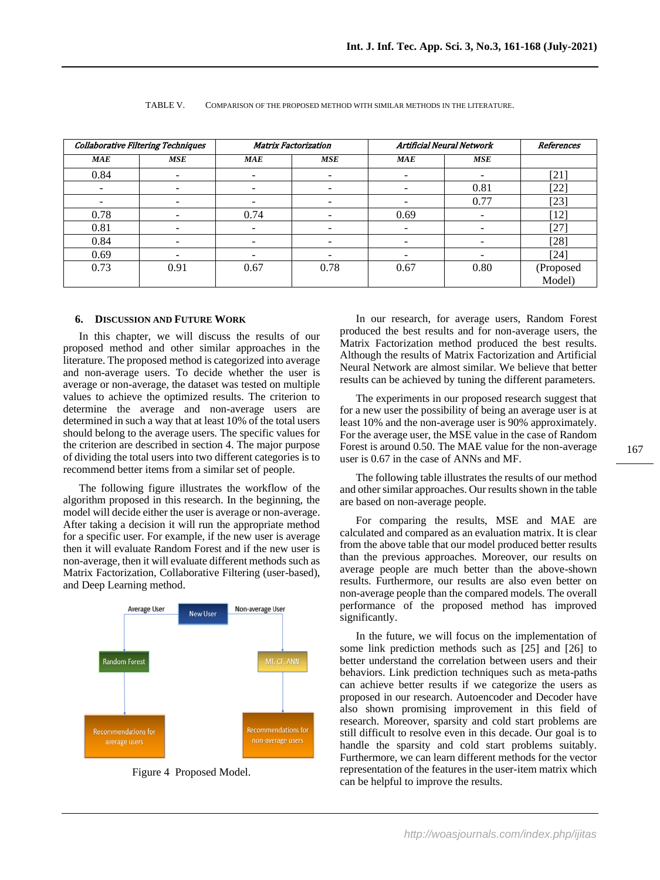| <b>Collaborative Filtering Techniques</b> |                          | <b>Matrix Factorization</b> |      | Artificial Neural Network |      | References          |
|-------------------------------------------|--------------------------|-----------------------------|------|---------------------------|------|---------------------|
| MAE                                       | MSE                      | MAE                         | MSE  | <b>MAE</b>                | MSE  |                     |
| 0.84                                      | $\overline{\phantom{a}}$ |                             | -    | $\overline{\phantom{0}}$  |      | $[21]$              |
|                                           |                          |                             |      |                           | 0.81 | $[22]$              |
|                                           |                          |                             |      |                           | 0.77 | $[23]$              |
| 0.78                                      |                          | 0.74                        |      | 0.69                      |      | $[12]$              |
| 0.81                                      | -                        |                             | -    | $\overline{\phantom{0}}$  |      | [27]                |
| 0.84                                      |                          |                             |      |                           |      | $[28]$              |
| 0.69                                      | -                        |                             |      | ۰                         |      | $[24]$              |
| 0.73                                      | 0.91                     | 0.67                        | 0.78 | 0.67                      | 0.80 | (Proposed<br>Model) |

#### TABLE V. COMPARISON OF THE PROPOSED METHOD WITH SIMILAR METHODS IN THE LITERATURE.

## **6. DISCUSSION AND FUTURE WORK**

In this chapter, we will discuss the results of our proposed method and other similar approaches in the literature. The proposed method is categorized into average and non-average users. To decide whether the user is average or non-average, the dataset was tested on multiple values to achieve the optimized results. The criterion to determine the average and non-average users are determined in such a way that at least 10% of the total users should belong to the average users. The specific values for the criterion are described in section 4. The major purpose of dividing the total users into two different categories is to recommend better items from a similar set of people.

The following figure illustrates the workflow of the algorithm proposed in this research. In the beginning, the model will decide either the user is average or non-average. After taking a decision it will run the appropriate method for a specific user. For example, if the new user is average then it will evaluate Random Forest and if the new user is non-average, then it will evaluate different methods such as Matrix Factorization, Collaborative Filtering (user-based), and Deep Learning method.



Figure 4 Proposed Model.

In our research, for average users, Random Forest produced the best results and for non-average users, the Matrix Factorization method produced the best results. Although the results of Matrix Factorization and Artificial Neural Network are almost similar. We believe that better results can be achieved by tuning the different parameters.

The experiments in our proposed research suggest that for a new user the possibility of being an average user is at least 10% and the non-average user is 90% approximately. For the average user, the MSE value in the case of Random Forest is around 0.50. The MAE value for the non-average user is 0.67 in the case of ANNs and MF.

The following table illustrates the results of our method and other similar approaches. Our results shown in the table are based on non-average people.

For comparing the results, MSE and MAE are calculated and compared as an evaluation matrix. It is clear from the above table that our model produced better results than the previous approaches. Moreover, our results on average people are much better than the above-shown results. Furthermore, our results are also even better on non-average people than the compared models. The overall performance of the proposed method has improved significantly.

In the future, we will focus on the implementation of some link prediction methods such as [\[25\]](#page-7-24) and [\[26\]](#page-7-25) to better understand the correlation between users and their behaviors. Link prediction techniques such as meta-paths can achieve better results if we categorize the users as proposed in our research. Autoencoder and Decoder have also shown promising improvement in this field of research. Moreover, sparsity and cold start problems are still difficult to resolve even in this decade. Our goal is to handle the sparsity and cold start problems suitably. Furthermore, we can learn different methods for the vector representation of the features in the user-item matrix which can be helpful to improve the results.